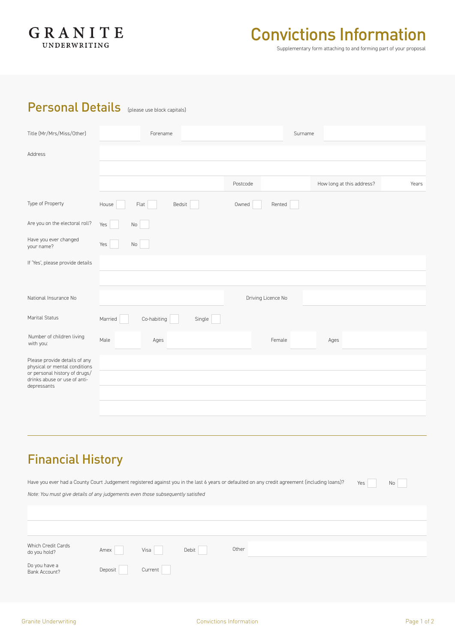

# Convictions Information

Supplementary form attaching to and forming part of your proposal

### Personal Details (please use block capitals)

| Title (Mr/Mrs/Miss/Other)                                                    | Forename                         | Surname            |                                    |
|------------------------------------------------------------------------------|----------------------------------|--------------------|------------------------------------|
| Address                                                                      |                                  |                    |                                    |
|                                                                              |                                  |                    |                                    |
|                                                                              |                                  | Postcode           | How long at this address?<br>Years |
| Type of Property                                                             | Flat<br>Bedsit<br>House          | Owned<br>Rented    |                                    |
| Are you on the electoral roll?                                               | Yes<br>No                        |                    |                                    |
| Have you ever changed<br>your name?                                          | Yes<br>No                        |                    |                                    |
| If 'Yes', please provide details                                             |                                  |                    |                                    |
|                                                                              |                                  |                    |                                    |
| National Insurance No                                                        |                                  | Driving Licence No |                                    |
| Marital Status                                                               | Co-habiting<br>Married<br>Single |                    |                                    |
| Number of children living<br>with you:                                       | Male<br>Ages                     | Female             | Ages                               |
| Please provide details of any<br>physical or mental conditions               |                                  |                    |                                    |
| or personal history of drugs/<br>drinks abuse or use of anti-<br>depressants |                                  |                    |                                    |
|                                                                              |                                  |                    |                                    |
|                                                                              |                                  |                    |                                    |

## Financial History

| Have you ever had a County Court Judgement registered against you in the last 6 years or defaulted on any credit agreement (including loans)? |         |         |       |       | Yes | No |
|-----------------------------------------------------------------------------------------------------------------------------------------------|---------|---------|-------|-------|-----|----|
| Note: You must give details of any judgements even those subsequently satisfied                                                               |         |         |       |       |     |    |
|                                                                                                                                               |         |         |       |       |     |    |
|                                                                                                                                               |         |         |       |       |     |    |
|                                                                                                                                               |         |         |       |       |     |    |
|                                                                                                                                               |         |         |       |       |     |    |
| Which Credit Cards<br>do you hold?                                                                                                            | Amex    | Visa    | Debit | Other |     |    |
| Do you have a<br>Bank Account?                                                                                                                | Deposit | Current |       |       |     |    |